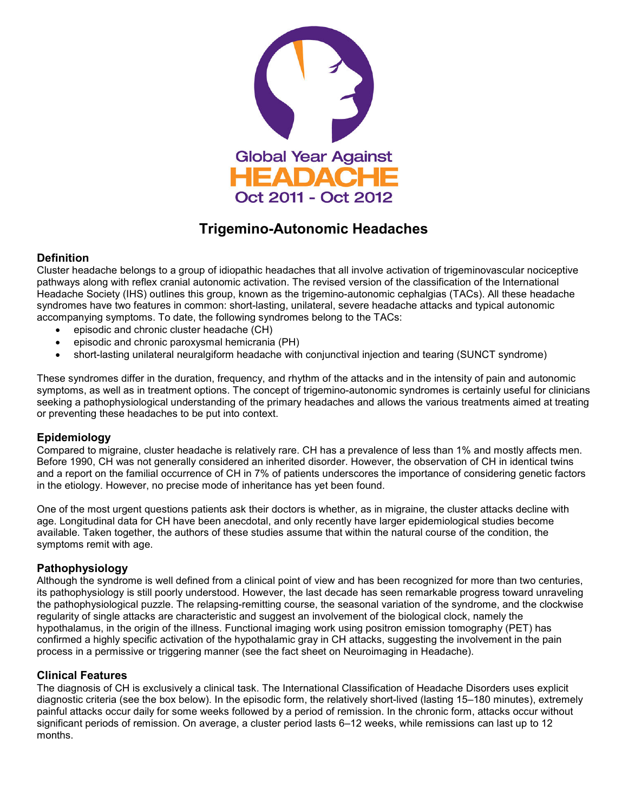

# **Trigemino-Autonomic Headaches**

## **Definition**

Cluster headache belongs to a group of idiopathic headaches that all involve activation of trigeminovascular nociceptive pathways along with reflex cranial autonomic activation. The revised version of the classification of the International Headache Society (IHS) outlines this group, known as the trigemino-autonomic cephalgias (TACs). All these headache syndromes have two features in common: short-lasting, unilateral, severe headache attacks and typical autonomic accompanying symptoms. To date, the following syndromes belong to the TACs:

- episodic and chronic cluster headache (CH)
- episodic and chronic paroxysmal hemicrania (PH)
- short-lasting unilateral neuralgiform headache with conjunctival injection and tearing (SUNCT syndrome)

These syndromes differ in the duration, frequency, and rhythm of the attacks and in the intensity of pain and autonomic symptoms, as well as in treatment options. The concept of trigemino-autonomic syndromes is certainly useful for clinicians seeking a pathophysiological understanding of the primary headaches and allows the various treatments aimed at treating or preventing these headaches to be put into context.

## **Epidemiology**

Compared to migraine, cluster headache is relatively rare. CH has a prevalence of less than 1% and mostly affects men. Before 1990, CH was not generally considered an inherited disorder. However, the observation of CH in identical twins and a report on the familial occurrence of CH in 7% of patients underscores the importance of considering genetic factors in the etiology. However, no precise mode of inheritance has yet been found.

One of the most urgent questions patients ask their doctors is whether, as in migraine, the cluster attacks decline with age. Longitudinal data for CH have been anecdotal, and only recently have larger epidemiological studies become available. Taken together, the authors of these studies assume that within the natural course of the condition, the symptoms remit with age.

### **Pathophysiology**

Although the syndrome is well defined from a clinical point of view and has been recognized for more than two centuries, its pathophysiology is still poorly understood. However, the last decade has seen remarkable progress toward unraveling the pathophysiological puzzle. The relapsing-remitting course, the seasonal variation of the syndrome, and the clockwise regularity of single attacks are characteristic and suggest an involvement of the biological clock, namely the hypothalamus, in the origin of the illness. Functional imaging work using positron emission tomography (PET) has confirmed a highly specific activation of the hypothalamic gray in CH attacks, suggesting the involvement in the pain process in a permissive or triggering manner (see the fact sheet on Neuroimaging in Headache).

### **Clinical Features**

The diagnosis of CH is exclusively a clinical task. The International Classification of Headache Disorders uses explicit diagnostic criteria (see the box below). In the episodic form, the relatively short-lived (lasting 15–180 minutes), extremely painful attacks occur daily for some weeks followed by a period of remission. In the chronic form, attacks occur without significant periods of remission. On average, a cluster period lasts 6–12 weeks, while remissions can last up to 12 months.